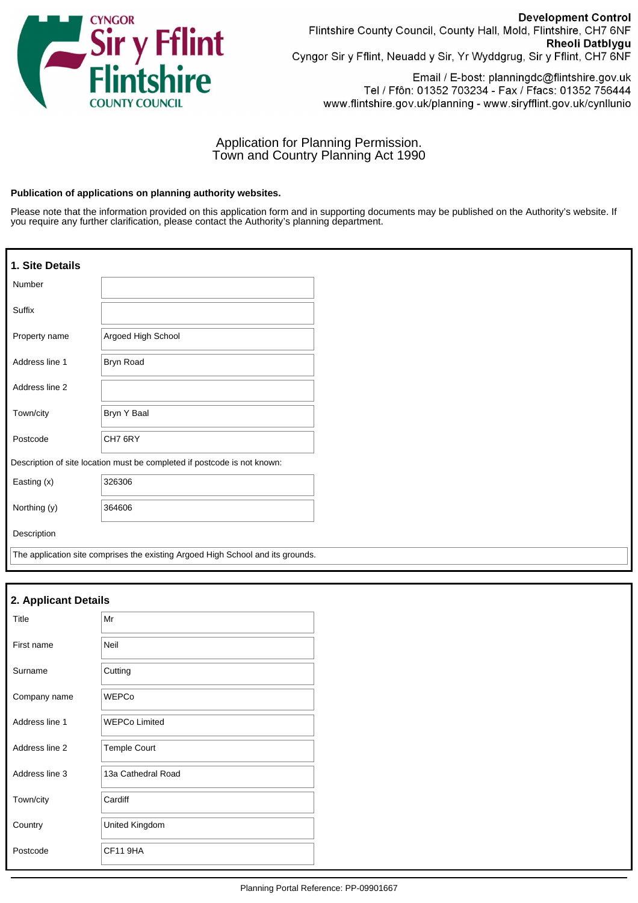

**Development Control** Flintshire County Council, County Hall, Mold, Flintshire, CH7 6NF Rheoli Datblygu Cyngor Sir y Fflint, Neuadd y Sir, Yr Wyddgrug, Sir y Fflint, CH7 6NF

Email / E-bost: planningdc@flintshire.gov.uk Tel / Ffôn: 01352 703234 - Fax / Ffacs: 01352 756444 www.flintshire.gov.uk/planning - www.siryfflint.gov.uk/cynllunio

# Application for Planning Permission. Town and Country Planning Act 1990

### **Publication of applications on planning authority websites.**

Please note that the information provided on this application form and in supporting documents may be published on the Authority's website. If you require any further clarification, please contact the Authority's planning department.

| 1. Site Details |                                                                                 |
|-----------------|---------------------------------------------------------------------------------|
| Number          |                                                                                 |
| Suffix          |                                                                                 |
| Property name   | Argoed High School                                                              |
| Address line 1  | <b>Bryn Road</b>                                                                |
| Address line 2  |                                                                                 |
| Town/city       | Bryn Y Baal                                                                     |
| Postcode        | CH7 6RY                                                                         |
|                 | Description of site location must be completed if postcode is not known:        |
| Easting (x)     | 326306                                                                          |
| Northing (y)    | 364606                                                                          |
| Description     |                                                                                 |
|                 | The application site comprises the existing Argoed High School and its grounds. |

| 2. Applicant Details |                      |  |
|----------------------|----------------------|--|
| Title                | Mr                   |  |
| First name           | Neil                 |  |
| Surname              | Cutting              |  |
| Company name         | <b>WEPCo</b>         |  |
| Address line 1       | <b>WEPCo Limited</b> |  |
| Address line 2       | <b>Temple Court</b>  |  |
| Address line 3       | 13a Cathedral Road   |  |
| Town/city            | Cardiff              |  |
| Country              | United Kingdom       |  |
| Postcode             | CF11 9HA             |  |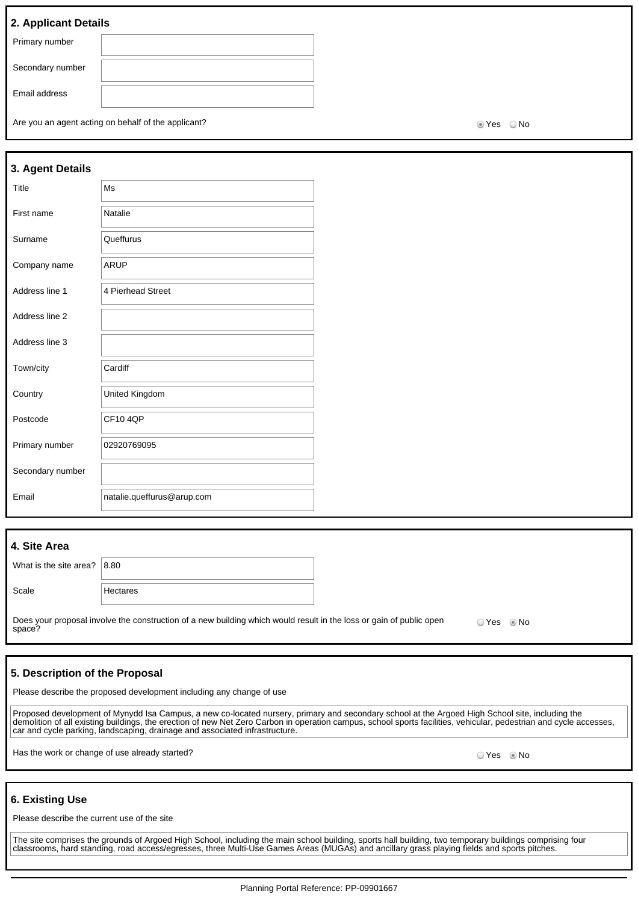## **2. Applicant Details**

| $ \cdots$ $\cdots$ $\cdots$ $\cdots$ $\cdots$ |  |
|-----------------------------------------------|--|
| Primary number                                |  |
| Secondary number                              |  |
| Email address                                 |  |
|                                               |  |

Are you an agent acting on behalf of the applicant? Are you are set of the No Yes No

| 3. Agent Details |                            |
|------------------|----------------------------|
| Title            | Ms                         |
| First name       | Natalie                    |
| Surname          | Queffurus                  |
| Company name     | <b>ARUP</b>                |
| Address line 1   | 4 Pierhead Street          |
| Address line 2   |                            |
| Address line 3   |                            |
| Town/city        | Cardiff                    |
| Country          | United Kingdom             |
| Postcode         | <b>CF104OP</b>             |
| Primary number   | 02920769095                |
| Secondary number |                            |
| Email            | natalie.queffurus@arup.com |

## **4. Site Area**

| What is the site area? $ 8.80\rangle$ |          |
|---------------------------------------|----------|
| Scale                                 | Hectares |

Does your proposal involve the construction of a new building which would result in the loss or gain of public open space? O Yes O No

## **5. Description of the Proposal**

Please describe the proposed development including any change of use

Proposed development of Mynydd Isa Campus, a new co-located nursery, primary and secondary school at the Argoed High School site, including the demolition of all existing buildings, the erection of new Net Zero Carbon in operation campus, school sports facilities, vehicular, pedestrian and cycle accesses, car and cycle parking, landscaping, drainage and associated infrastructure.

Has the work or change of use already started? All the state of the state of the state of the Society of No No

## **6. Existing Use**

Please describe the current use of the site

The site comprises the grounds of Argoed High School, including the main school building, sports hall building, two temporary buildings comprising four classrooms, hard standing, road access/egresses, three Multi-Use Games Areas (MUGAs) and ancillary grass playing fields and sports pitches.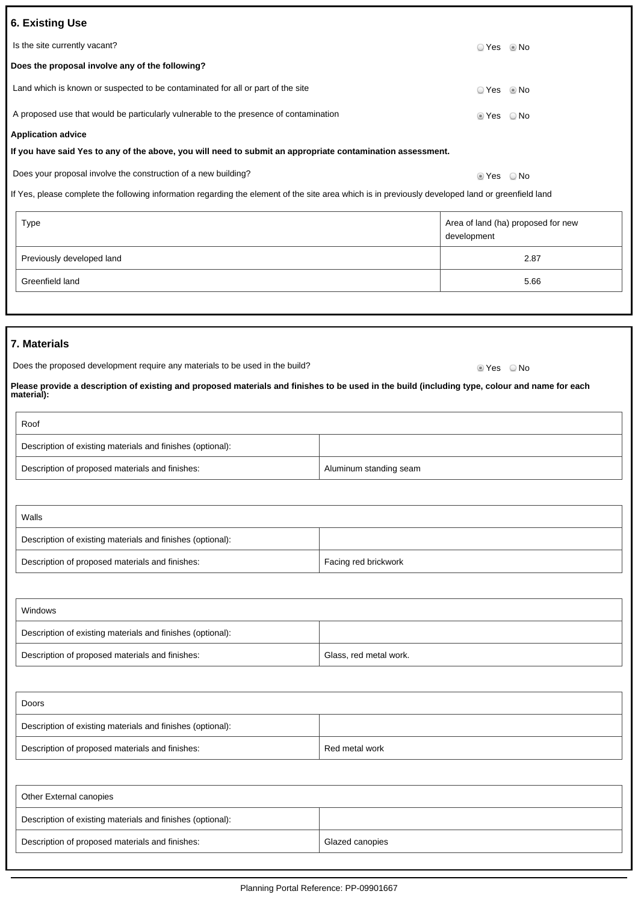| 6. Existing Use                                                                                            |                        |      |
|------------------------------------------------------------------------------------------------------------|------------------------|------|
| Is the site currently vacant?                                                                              | ○ Yes ◎ No             |      |
| Does the proposal involve any of the following?                                                            |                        |      |
| Land which is known or suspected to be contaminated for all or part of the site                            | $\circ$ Yes $\circ$ No |      |
| A proposed use that would be particularly vulnerable to the presence of contamination                      | ■ Yes   No             |      |
| <b>Application advice</b>                                                                                  |                        |      |
| If you have said Yes to any of the above, you will need to submit an appropriate contamination assessment. |                        |      |
| Does your proposal involve the construction of a new building?                                             | ⊚ Yes                  | ⊙ No |

If Yes, please complete the following information regarding the element of the site area which is in previously developed land or greenfield land

| Type                      | Area of land (ha) proposed for new<br>development |
|---------------------------|---------------------------------------------------|
| Previously developed land | 2.87                                              |
| Greenfield land           | 5.66                                              |

## **7. Materials**

| Does the proposed development require any materials to be used in the build? | ® Yes     © No |  |
|------------------------------------------------------------------------------|----------------|--|
|                                                                              |                |  |

**Please provide a description of existing and proposed materials and finishes to be used in the build (including type, colour and name for each material):**

| Roof                                                       |                        |
|------------------------------------------------------------|------------------------|
| Description of existing materials and finishes (optional): |                        |
| Description of proposed materials and finishes:            | Aluminum standing seam |

| Walls                                                      |                      |
|------------------------------------------------------------|----------------------|
| Description of existing materials and finishes (optional): |                      |
| Description of proposed materials and finishes:            | Facing red brickwork |

| Windows                                                    |                        |
|------------------------------------------------------------|------------------------|
| Description of existing materials and finishes (optional): |                        |
| Description of proposed materials and finishes:            | Glass, red metal work. |

| Doors                                                      |                |
|------------------------------------------------------------|----------------|
| Description of existing materials and finishes (optional): |                |
| Description of proposed materials and finishes:            | Red metal work |

| Other External canopies                                    |                 |  |
|------------------------------------------------------------|-----------------|--|
| Description of existing materials and finishes (optional): |                 |  |
| Description of proposed materials and finishes:            | Glazed canopies |  |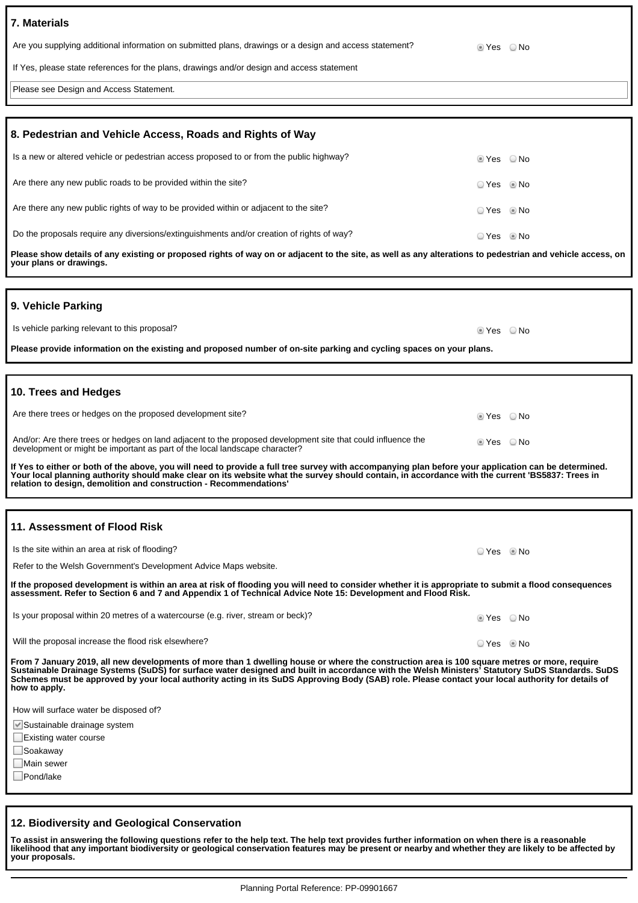| 7. Materials                                                                                            |         |      |
|---------------------------------------------------------------------------------------------------------|---------|------|
| Are you supplying additional information on submitted plans, drawings or a design and access statement? | tes ONo |      |
| If Yes, please state references for the plans, drawings and/or design and access statement              |         |      |
| Please see Design and Access Statement.                                                                 |         |      |
|                                                                                                         |         |      |
| 8. Pedestrian and Vehicle Access, Roads and Rights of Way                                               |         |      |
| Is a new or altered vehicle or pedestrian access proposed to or from the public highway?                | . Yes   | ⊜ No |

| Are there any new public roads to be provided within the site?                            | $OYes$ Mo  |  |
|-------------------------------------------------------------------------------------------|------------|--|
| Are there any new public rights of way to be provided within or adiacent to the site?     | ○ Yes ◎ No |  |
| Do the proposals require any diversions/extinguishments and/or creation of rights of way? |            |  |

**Please show details of any existing or proposed rights of way on or adjacent to the site, as well as any alterations to pedestrian and vehicle access, on your plans or drawings.**

## **9. Vehicle Parking**

| Is vehicle parking relevant to this proposal?                                                                       | $\odot$ Yes $\odot$ No |  |
|---------------------------------------------------------------------------------------------------------------------|------------------------|--|
| Please provide information on the existing and proposed number of on-site parking and cycling spaces on your plans. |                        |  |

### **10. Trees and Hedges**

| Are there trees or hedges on the proposed development site?                                                                                                                                 | lier ONo                 |  |
|---------------------------------------------------------------------------------------------------------------------------------------------------------------------------------------------|--------------------------|--|
| And/or: Are there trees or hedges on land adjacent to the proposed development site that could influence the<br>development or might be important as part of the local landscape character? | $\bullet$ Yes $\circ$ No |  |

**If Yes to either or both of the above, you will need to provide a full tree survey with accompanying plan before your application can be determined. Your local planning authority should make clear on its website what the survey should contain, in accordance with the current 'BS5837: Trees in relation to design, demolition and construction - Recommendations'**

## **11. Assessment of Flood Risk**

Is the site within an area at risk of flooding?

Refer to the Welsh Government's Development Advice Maps website.

**If the proposed development is within an area at risk of flooding you will need to consider whether it is appropriate to submit a flood consequences assessment. Refer to Section 6 and 7 and Appendix 1 of Technical Advice Note 15: Development and Flood Risk.**

| Is your proposal within 20 metres of a watercourse (e.g. river, stream or beck)? | ⊛ Yes    ⊙ No |
|----------------------------------------------------------------------------------|---------------|
|----------------------------------------------------------------------------------|---------------|

Will the proposal increase the flood risk elsewhere? No was not also asset that we have not also we have not also No

**From 7 January 2019, all new developments of more than 1 dwelling house or where the construction area is 100 square metres or more, require Sustainable Drainage Systems (SuDS) for surface water designed and built in accordance with the Welsh Ministers' Statutory SuDS Standards. SuDS Schemes must be approved by your local authority acting in its SuDS Approving Body (SAB) role. Please contact your local authority for details of how to apply.**

How will surface water be disposed of?

Sustainable drainage system

 $\Box$  Existing water course

■Soakaway

**Main sewer** 

□Pond/lake

## **12. Biodiversity and Geological Conservation**

**To assist in answering the following questions refer to the help text. The help text provides further information on when there is a reasonable likelihood that any important biodiversity or geological conservation features may be present or nearby and whether they are likely to be affected by your proposals.**

Yes No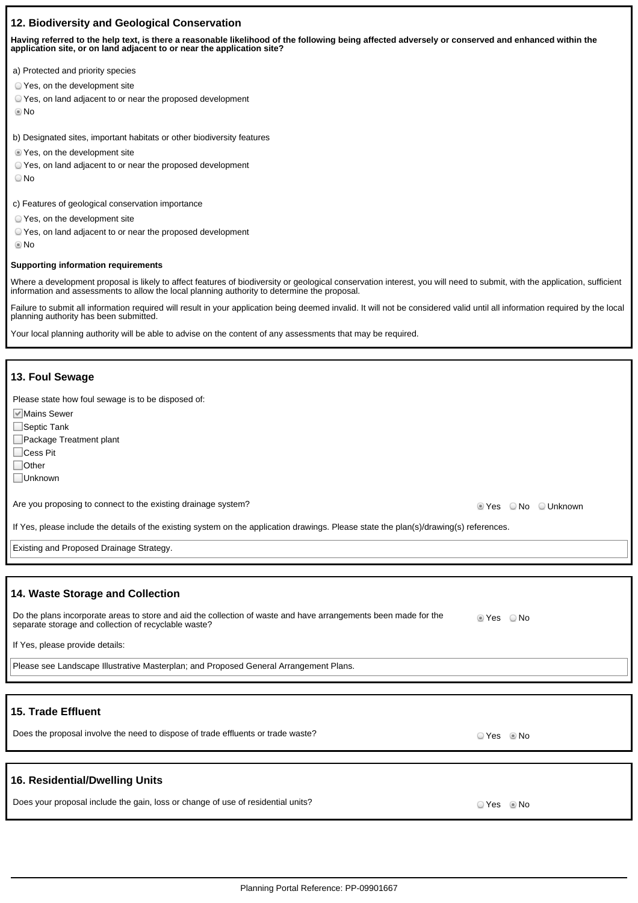## **12. Biodiversity and Geological Conservation**

**Having referred to the help text, is there a reasonable likelihood of the following being affected adversely or conserved and enhanced within the application site, or on land adjacent to or near the application site?**

- a) Protected and priority species
- Yes, on the development site
- Yes, on land adjacent to or near the proposed development
- No

b) Designated sites, important habitats or other biodiversity features

- $\bullet$  Yes, on the development site
- Yes, on land adjacent to or near the proposed development
- O No

c) Features of geological conservation importance

- Yes, on the development site
- Yes, on land adjacent to or near the proposed development
- No

#### **Supporting information requirements**

Where a development proposal is likely to affect features of biodiversity or geological conservation interest, you will need to submit, with the application, sufficient information and assessments to allow the local planning authority to determine the proposal.

Failure to submit all information required will result in your application being deemed invalid. It will not be considered valid until all information required by the local planning authority has been submitted.

Your local planning authority will be able to advise on the content of any assessments that may be required.

#### **13. Foul Sewage**

Please state how foul sewage is to be disposed of:

**Mains Sewer** 

- Septic Tank
- Package Treatment plant
- □Cess Pit

□ Other

Unknown

Are you proposing to connect to the existing drainage system? The example of the existing drainage system?

If Yes, please include the details of the existing system on the application drawings. Please state the plan(s)/drawing(s) references.

Existing and Proposed Drainage Strategy.

## **14. Waste Storage and Collection**

| Do the plans incorporate areas to store and aid the collection of waste and have arrangements been made for the<br>separate storage and collection of recyclable waste? | ⊚ Yes | ∋ No |
|-------------------------------------------------------------------------------------------------------------------------------------------------------------------------|-------|------|
|-------------------------------------------------------------------------------------------------------------------------------------------------------------------------|-------|------|

If Yes, please provide details:

Please see Landscape Illustrative Masterplan; and Proposed General Arrangement Plans.

# **15. Trade Effluent**

Does the proposal involve the need to dispose of trade effluents or trade waste?  $\Box$  Yes No

## **16. Residential/Dwelling Units**

Does your proposal include the gain, loss or change of use of residential units?  $\Box$  Yes No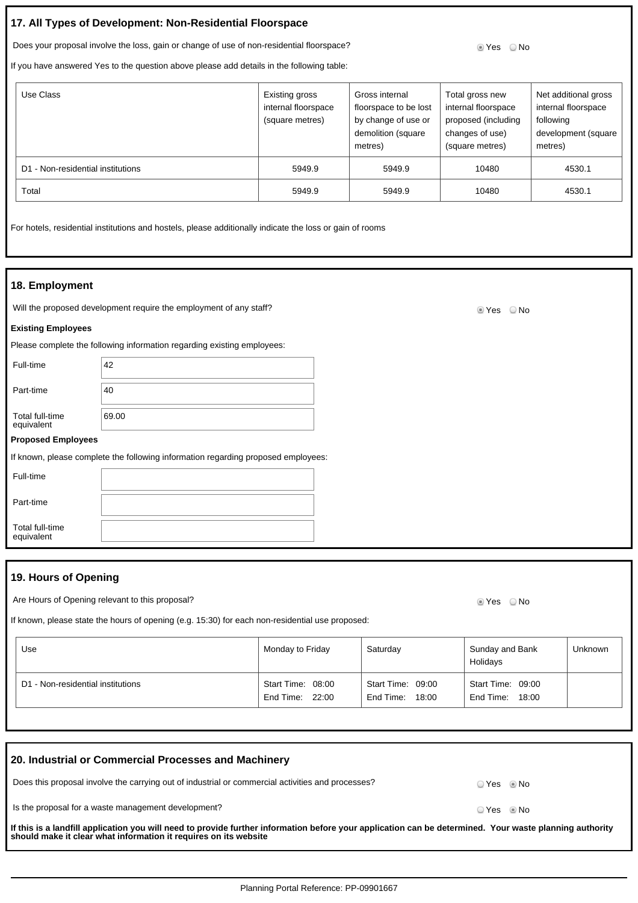# **17. All Types of Development: Non-Residential Floorspace**

Does your proposal involve the loss, gain or change of use of non-residential floorspace? So we say that I was the No

If you have answered Yes to the question above please add details in the following table:

| Use Class                         | Existing gross<br>internal floorspace<br>(square metres) | Gross internal<br>floorspace to be lost<br>by change of use or<br>demolition (square<br>metres) | Total gross new<br>internal floorspace<br>proposed (including<br>changes of use)<br>(square metres) | Net additional gross<br>internal floorspace<br>following<br>development (square<br>metres) |
|-----------------------------------|----------------------------------------------------------|-------------------------------------------------------------------------------------------------|-----------------------------------------------------------------------------------------------------|--------------------------------------------------------------------------------------------|
| D1 - Non-residential institutions | 5949.9                                                   | 5949.9                                                                                          | 10480                                                                                               | 4530.1                                                                                     |
| Total                             | 5949.9                                                   | 5949.9                                                                                          | 10480                                                                                               | 4530.1                                                                                     |

For hotels, residential institutions and hostels, please additionally indicate the loss or gain of rooms

### **18. Employment**

Will the proposed development require the employment of any staff? Will the proposed development require the employment of any staff?

#### **Existing Employees**

Please complete the following information regarding existing employees:

Full-time 42 Part-time  $|40$ Total full-time equivalent 69.00

#### **Proposed Employees**

If known, please complete the following information regarding proposed employees:

Full-time

Part-time

Total full-time equivalent

# **19. Hours of Opening**

Are Hours of Opening relevant to this proposal? Are No will be a state of the No will be a state of No will be a state of No will be a state of No will be a state of No will be a state of No will be a state of No will be a

If known, please state the hours of opening (e.g. 15:30) for each non-residential use proposed:

| Use                               | Monday to Friday                     | Saturday                                | Sunday and Bank<br>Holidays             | Unknown |
|-----------------------------------|--------------------------------------|-----------------------------------------|-----------------------------------------|---------|
| D1 - Non-residential institutions | Start Time: 08:00<br>End Time: 22:00 | Start Time: 09:00<br>End Time:<br>18:00 | Start Time: 09:00<br>End Time:<br>18:00 |         |

| 20. Industrial or Commercial Processes and Machinery                                                                                                                                                                        |              |              |
|-----------------------------------------------------------------------------------------------------------------------------------------------------------------------------------------------------------------------------|--------------|--------------|
| Does this proposal involve the carrying out of industrial or commercial activities and processes?                                                                                                                           |              | OYes . Io No |
| Is the proposal for a waste management development?                                                                                                                                                                         | ⊙ Yes … ® No |              |
| If this is a landfill application you will need to provide further information before your application can be determined. Your waste planning authority<br>should make it clear what information it requires on its website |              |              |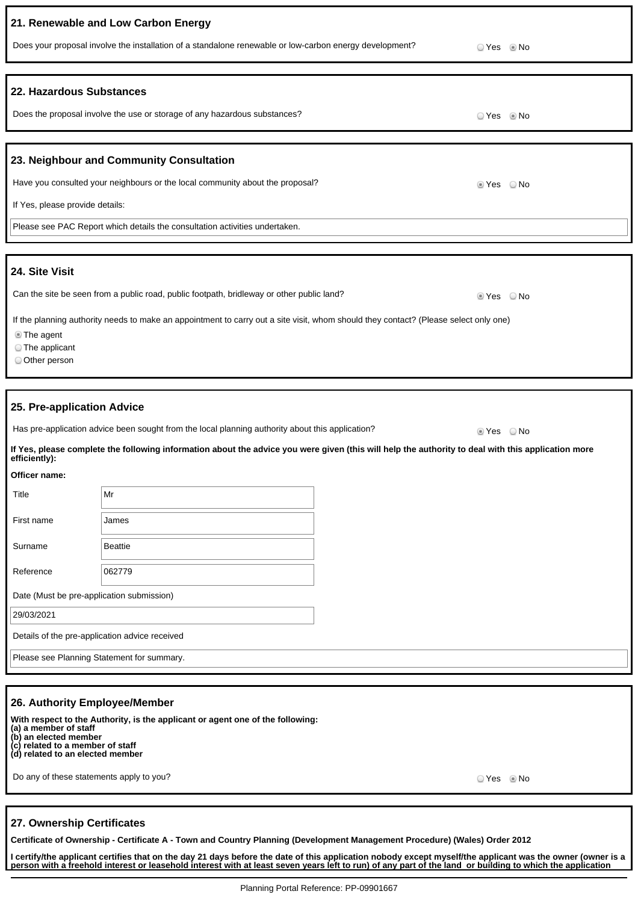|                                                                                                                                                                                             | 21. Renewable and Low Carbon Energy                                                                                                                |                        |  |  |
|---------------------------------------------------------------------------------------------------------------------------------------------------------------------------------------------|----------------------------------------------------------------------------------------------------------------------------------------------------|------------------------|--|--|
|                                                                                                                                                                                             | Does your proposal involve the installation of a standalone renewable or low-carbon energy development?<br>⊙ Yes © No                              |                        |  |  |
|                                                                                                                                                                                             |                                                                                                                                                    |                        |  |  |
| 22. Hazardous Substances                                                                                                                                                                    |                                                                                                                                                    |                        |  |  |
|                                                                                                                                                                                             | Does the proposal involve the use or storage of any hazardous substances?                                                                          | ⊙ Yes © No             |  |  |
|                                                                                                                                                                                             |                                                                                                                                                    |                        |  |  |
|                                                                                                                                                                                             | 23. Neighbour and Community Consultation                                                                                                           |                        |  |  |
|                                                                                                                                                                                             | Have you consulted your neighbours or the local community about the proposal?                                                                      | ties ⊘<br>⊙ No         |  |  |
| If Yes, please provide details:                                                                                                                                                             |                                                                                                                                                    |                        |  |  |
|                                                                                                                                                                                             | Please see PAC Report which details the consultation activities undertaken.                                                                        |                        |  |  |
|                                                                                                                                                                                             |                                                                                                                                                    |                        |  |  |
| 24. Site Visit                                                                                                                                                                              |                                                                                                                                                    |                        |  |  |
|                                                                                                                                                                                             | Can the site be seen from a public road, public footpath, bridleway or other public land?                                                          | ⊙ No<br>t Yes          |  |  |
| If the planning authority needs to make an appointment to carry out a site visit, whom should they contact? (Please select only one)<br><b>The agent</b><br>The applicant<br>O Other person |                                                                                                                                                    |                        |  |  |
|                                                                                                                                                                                             |                                                                                                                                                    |                        |  |  |
| 25. Pre-application Advice                                                                                                                                                                  |                                                                                                                                                    |                        |  |  |
|                                                                                                                                                                                             | Has pre-application advice been sought from the local planning authority about this application?                                                   | $\circ$ Yes $\circ$ No |  |  |
| efficiently):                                                                                                                                                                               | If Yes, please complete the following information about the advice you were given (this will help the authority to deal with this application more |                        |  |  |
| Officer name:                                                                                                                                                                               |                                                                                                                                                    |                        |  |  |
| Title                                                                                                                                                                                       | Mr                                                                                                                                                 |                        |  |  |
| First name                                                                                                                                                                                  | James                                                                                                                                              |                        |  |  |
| Surname                                                                                                                                                                                     | <b>Beattie</b>                                                                                                                                     |                        |  |  |
| Reference                                                                                                                                                                                   | 062779                                                                                                                                             |                        |  |  |
| Date (Must be pre-application submission)                                                                                                                                                   |                                                                                                                                                    |                        |  |  |
| 29/03/2021                                                                                                                                                                                  |                                                                                                                                                    |                        |  |  |
| Details of the pre-application advice received                                                                                                                                              |                                                                                                                                                    |                        |  |  |
| Please see Planning Statement for summary.                                                                                                                                                  |                                                                                                                                                    |                        |  |  |
|                                                                                                                                                                                             |                                                                                                                                                    |                        |  |  |
| 26. Authority Employee/Member                                                                                                                                                               |                                                                                                                                                    |                        |  |  |

**With respect to the Authority, is the applicant or agent one of the following: (a) a member of staff (b) an elected member (c) related to a member of staff**

**(d) related to an elected member**

Do any of these statements apply to you? The set of the set of the set of the set of the set of the SNo No No

## **27. Ownership Certificates**

**Certificate of Ownership - Certificate A - Town and Country Planning (Development Management Procedure) (Wales) Order 2012**

**I certify/the applicant certifies that on the day 21 days before the date of this application nobody except myself/the applicant was the owner (owner is a person with a freehold interest or leasehold interest with at least seven years left to run) of any part of the land or building to which the application**